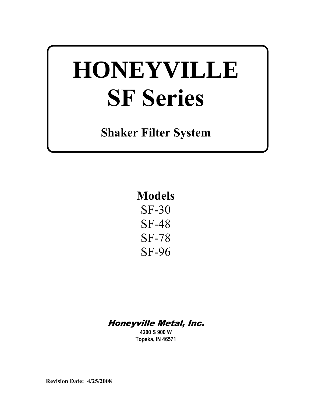# **HONEYVILLE SF Series**

**Shaker Filter System** 

**Models**  SF-30 SF-48 SF-78 SF-96

# Honeyville Metal, Inc.

**4200 S 900 W Topeka, IN 46571** 

**Revision Date: 4/25/2008**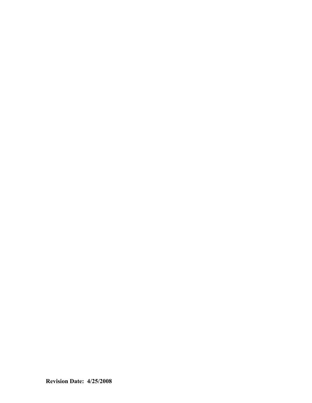**Revision Date: 4/25/2008**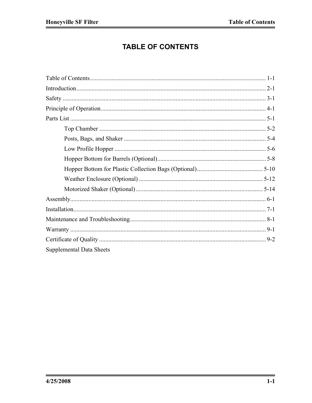# **TABLE OF CONTENTS**

| <b>Supplemental Data Sheets</b> |  |
|---------------------------------|--|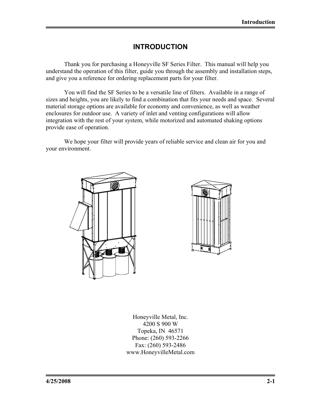#### **INTRODUCTION**

 Thank you for purchasing a Honeyville SF Series Filter. This manual will help you understand the operation of this filter, guide you through the assembly and installation steps, and give you a reference for ordering replacement parts for your filter.

You will find the SF Series to be a versatile line of filters. Available in a range of sizes and heights, you are likely to find a combination that fits your needs and space. Several material storage options are available for economy and convenience, as well as weather enclosures for outdoor use. A variety of inlet and venting configurations will allow integration with the rest of your system, while motorized and automated shaking options provide ease of operation.

We hope your filter will provide years of reliable service and clean air for you and your environment.





Honeyville Metal, Inc. 4200 S 900 W Topeka, IN 46571 Phone: (260) 593-2266 Fax: (260) 593-2486 www.HoneyvilleMetal.com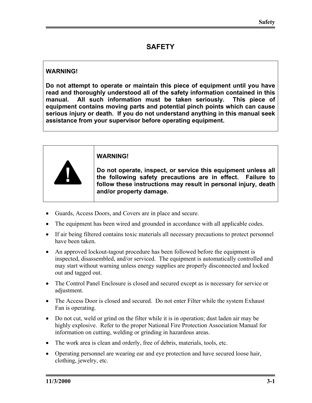# **SAFETY**

#### **WARNING!**

**Do not attempt to operate or maintain this piece of equipment until you have read and thoroughly understood all of the safety information contained in this manual. All such information must be taken seriously. This piece of equipment contains moving parts and potential pinch points which can cause serious injury or death. If you do not understand anything in this manual seek assistance from your supervisor before operating equipment.** 



- Guards, Access Doors, and Covers are in place and secure.
- The equipment has been wired and grounded in accordance with all applicable codes.
- If air being filtered contains toxic materials all necessary precautions to protect personnel have been taken.
- An approved lockout-tagout procedure has been followed before the equipment is inspected, disassembled, and/or serviced. The equipment is automatically controlled and may start without warning unless energy supplies are properly disconnected and locked out and tagged out.
- The Control Panel Enclosure is closed and secured except as is necessary for service or adjustment.
- The Access Door is closed and secured. Do not enter Filter while the system Exhaust Fan is operating.
- Do not cut, weld or grind on the filter while it is in operation; dust laden air may be highly explosive. Refer to the proper National Fire Protection Association Manual for information on cutting, welding or grinding in hazardous areas.
- The work area is clean and orderly, free of debris, materials, tools, etc.
- Operating personnel are wearing ear and eye protection and have secured loose hair, clothing, jewelry, etc.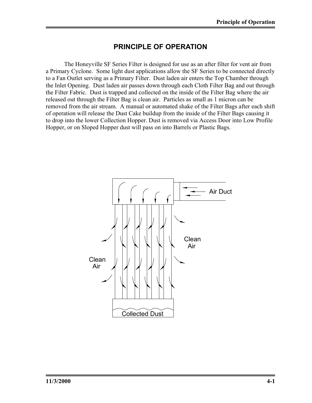### **PRINCIPLE OF OPERATION**

 The Honeyville SF Series Filter is designed for use as an after filter for vent air from a Primary Cyclone. Some light dust applications allow the SF Series to be connected directly to a Fan Outlet serving as a Primary Filter. Dust laden air enters the Top Chamber through the Inlet Opening. Dust laden air passes down through each Cloth Filter Bag and out through the Filter Fabric. Dust is trapped and collected on the inside of the Filter Bag where the air released out through the Filter Bag is clean air. Particles as small as 1 micron can be removed from the air stream. A manual or automated shake of the Filter Bags after each shift of operation will release the Dust Cake buildup from the inside of the Filter Bags causing it to drop into the lower Collection Hopper. Dust is removed via Access Door into Low Profile Hopper, or on Sloped Hopper dust will pass on into Barrels or Plastic Bags.

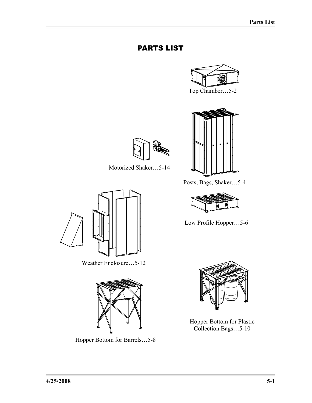# PARTS LIST







Motorized Shaker…5-14



Weather Enclosure…5-12



Hopper Bottom for Barrels…5-8

Posts, Bags, Shaker…5-4



Low Profile Hopper…5-6



Hopper Bottom for Plastic Collection Bags…5-10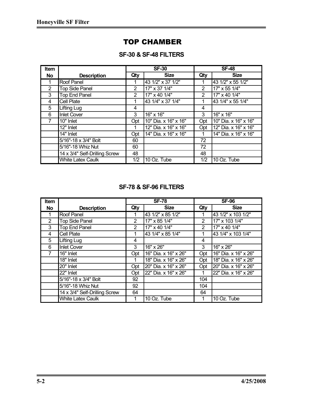## TOP CHAMBER

#### **SF-30 & SF-48 FILTERS**

| <b>Item</b>    |                               |                | <b>SF-30</b>         |     | $SF-48$              |
|----------------|-------------------------------|----------------|----------------------|-----|----------------------|
| No             | <b>Description</b>            | Qty            | <b>Size</b>          | Qty | <b>Size</b>          |
|                | <b>Roof Panel</b>             |                | 43 1/2" x 37 1/2"    |     | 43 1/2" x 55 1/2"    |
| $\overline{2}$ | <b>Top Side Panel</b>         | $\overline{2}$ | 17" x 37 1/4"        | 2   | 17" x 55 1/4"        |
| 3              | <b>Top End Panel</b>          | $\overline{2}$ | 17" x 40 1/4"        | 2   | 17" x 40 1/4"        |
| 4              | <b>Cell Plate</b>             |                | 43 1/4" x 37 1/4"    |     | 43 1/4" x 55 1/4"    |
| 5              | Lifting Lug                   | 4              |                      | 4   |                      |
| 6              | <b>Inlet Cover</b>            | 3              | 16" x 16"            | 3   | 16" x 16"            |
|                | 10" Inlet                     | Opt            | 10" Dia. x 16" x 16" | Opt | 10" Dia. x 16" x 16" |
|                | 12" Inlet                     |                | 12" Dia. x 16" x 16" | Opt | 12" Dia. x 16" x 16" |
|                | 14" Inlet                     | Opt            | 14" Dia. x 16" x 16" |     | 14" Dia. x 16" x 16" |
|                | 5/16"-18 x 3/4" Bolt          | 60             |                      | 72  |                      |
|                | 5/16"-18 Whiz Nut             | 60             |                      | 72  |                      |
|                | 14 x 3/4" Self-Drilling Screw | 48             |                      | 48  |                      |
|                | <b>White Latex Caulk</b>      | 1/2            | 10 Oz. Tube          | 1/2 | 10 Oz. Tube          |

#### **SF-78 & SF-96 FILTERS**

| <b>Item</b>    |                               |                | <b>SF-78</b>         |     | <b>SF-96</b>         |
|----------------|-------------------------------|----------------|----------------------|-----|----------------------|
| <b>No</b>      | <b>Description</b>            | Qty            | <b>Size</b>          | Qty | <b>Size</b>          |
|                | Roof Panel                    |                | 43 1/2" x 85 1/2"    |     | 43 1/2" x 103 1/2"   |
| $\overline{2}$ | <b>Top Side Panel</b>         | $\overline{2}$ | 17" x 85 1/4"        | 2   | 17" x 103 1/4"       |
| 3              | <b>Top End Panel</b>          | $\overline{2}$ | 17" x 40 1/4"        | 2   | 17" x 40 1/4"        |
| 4              | Cell Plate                    |                | 43 1/4" x 85 1/4"    |     | 43 1/4" x 103 1/4"   |
| 5              | Lifting Lug                   | 4              |                      | 4   |                      |
| 6              | <b>Inlet Cover</b>            | 3              | 16" x 26"            | 3   | 16" x 26"            |
|                | 16" Inlet                     | Opt            | 16" Dia. x 16" x 26" | Opt | 16" Dia. x 16" x 26" |
|                | 18" Inlet                     |                | 18" Dia. x 16" x 26" | Opt | 18" Dia. x 16" x 26" |
|                | 20" Inlet                     | Opt            | 20" Dia. x 16" x 26" | Opt | 20" Dia. x 16" x 26" |
|                | 22" Inlet                     | Opt            | 22" Dia. x 16" x 26" |     | 22" Dia. x 16" x 26" |
|                | 5/16"-18 x 3/4" Bolt          | 92             |                      | 104 |                      |
|                | 5/16"-18 Whiz Nut             | 92             |                      | 104 |                      |
|                | 14 x 3/4" Self-Drilling Screw | 64             |                      | 64  |                      |
|                | <b>White Latex Caulk</b>      |                | 10 Oz. Tube          |     | 10 Oz. Tube          |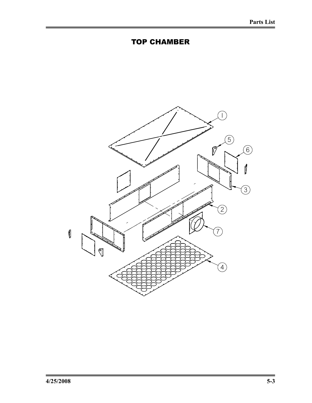

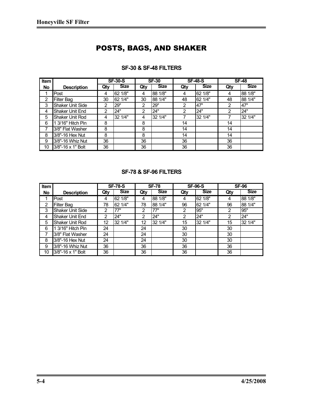# POSTS, BAGS, AND SHAKER

| Item      |                         |                | <b>SF-30-S</b> |     | <b>SF-30</b> |     | <b>SF-48-S</b> |     | <b>SF-48</b> |
|-----------|-------------------------|----------------|----------------|-----|--------------|-----|----------------|-----|--------------|
| <b>No</b> | <b>Description</b>      | Qty            | <b>Size</b>    | Qty | <b>Size</b>  | Qty | <b>Size</b>    | Qty | <b>Size</b>  |
|           | Post                    | 4              | 62 1/8"        | 4   | 88 1/8"      | 4   | 62 1/8"        | 4   | 88 1/8"      |
| 2         | Filter Bag              | 30             | 62 1/4"        | 30  | 88 1/4"      | 48  | 62 1/4"        | 48  | 88 1/4"      |
| 3         | <b>Shaker Unit Side</b> | $\overline{2}$ | 29"            | 2   | 29"          | 2   | 47"            | 2   | 47"          |
| 4         | Shaker Unit End         | $\overline{2}$ | 24"            | 2   | 24"          | 2   | 24"            | 2   | 24"          |
| 5         | Shaker Unit Rod         | 4              | 32 1/4"        | 4   | 32 1/4"      |     | 32 1/4"        | 7   | 32 1/4"      |
| 6         | 3/16" Hitch Pin         | 8              |                | 8   |              | 14  |                | 14  |              |
| 7         | 3/8" Flat Washer        | 8              |                | 8   |              | 14  |                | 14  |              |
| 8         | 3/8"-16 Hex Nut         | 8              |                | 8   |              | 14  |                | 14  |              |
| 9         | 3/8"-16 Whiz Nut        | 36             |                | 36  |              | 36  |                | 36  |              |
| 10        | 3/8"-16 x 1" Bolt       | 36             |                | 36  |              | 36  |                | 36  |              |

#### **SF-30 & SF-48 FILTERS**

| <b>SF-78 &amp; SF-96 FILTERS</b> |  |  |  |  |
|----------------------------------|--|--|--|--|
|----------------------------------|--|--|--|--|

| Item |                         |     | <b>SF-78-S</b> |     | <b>SF-78</b> |     | <b>SF-96-S</b> |     | <b>SF-96</b> |
|------|-------------------------|-----|----------------|-----|--------------|-----|----------------|-----|--------------|
| No.  | <b>Description</b>      | Qty | <b>Size</b>    | Qty | <b>Size</b>  | Qty | <b>Size</b>    | Qty | <b>Size</b>  |
|      | Post                    | 4   | 62 1/8"        | 4   | 88 1/8"      | 4   | 62 1/8"        | 4   | 88 1/8"      |
| 2    | Filter Bag              | 78  | 62 1/4"        | 78  | 88 1/4"      | 96  | 62 1/4"        | 96  | 88 1/4"      |
| 3    | <b>Shaker Unit Side</b> | 2   | 77"            | 2   | 77"          | 2   | 95"            | 2   | 95"          |
| 4    | <b>Shaker Unit End</b>  | 2   | 24"            | 2   | 24"          | 2   | 24"            | 2   | 24"          |
| 5    | <b>Shaker Unit Rod</b>  | 12  | 32 1/4"        | 12  | 32 1/4"      | 15  | 32 1/4"        | 15  | 32 1/4"      |
| 6    | 1 3/16" Hitch Pin       | 24  |                | 24  |              | 30  |                | 30  |              |
|      | 3/8" Flat Washer        | 24  |                | 24  |              | 30  |                | 30  |              |
| 8    | 3/8"-16 Hex Nut         | 24  |                | 24  |              | 30  |                | 30  |              |
| 9    | 3/8"-16 Whiz Nut        | 36  |                | 36  |              | 36  |                | 36  |              |
| 10   | 3/8"-16 x 1" Bolt       | 36  |                | 36  |              | 36  |                | 36  |              |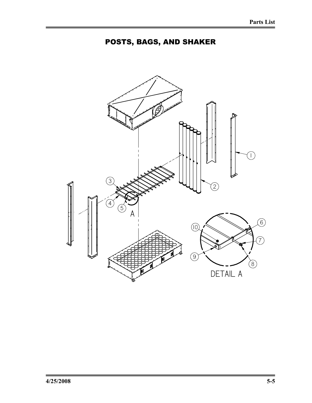

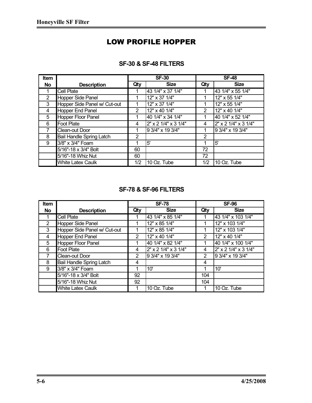# LOW PROFILE HOPPER

| <b>Item</b>    |                              |     | <b>SF-30</b>         |     | <b>SF-48</b>         |
|----------------|------------------------------|-----|----------------------|-----|----------------------|
| <b>No</b>      | <b>Description</b>           | Qty | <b>Size</b>          | Qty | <b>Size</b>          |
|                | <b>Cell Plate</b>            |     | 43 1/4" x 37 1/4"    |     | 43 1/4" x 55 1/4"    |
| $\overline{2}$ | Hopper Side Panel            |     | 12" x 37 1/4"        |     | 12" x 55 1/4"        |
| 3              | Hopper Side Panel w/ Cut-out |     | 12" x 37 1/4"        |     | 12" x 55 1/4"        |
| 4              | Hopper End Panel             | 2   | 12" x 40 1/4"        | 2   | 12" x 40 1/4"        |
| 5              | <b>Hopper Floor Panel</b>    |     | 40 1/4" x 34 1/4"    |     | 40 1/4" x 52 1/4"    |
| 6              | <b>Foot Plate</b>            | 4   | 2" x 2 1/4" x 3 1/4" | 4   | 2" x 2 1/4" x 3 1/4" |
|                | Clean-out Door               |     | 9 3/4" x 19 3/4"     |     | 9 3/4" x 19 3/4"     |
| 8              | Bail Handle Spring Latch     | 2   |                      | 2   |                      |
| 9              | 3/8" x 3/4" Foam             |     | 5'                   |     | 5'                   |
|                | 5/16"-18 x 3/4" Bolt         | 60  |                      | 72  |                      |
|                | 5/16"-18 Whiz Nut            | 60  |                      | 72  |                      |
|                | <b>White Latex Caulk</b>     | 1/2 | 10 Oz. Tube          | 1/2 | 10 Oz. Tube          |

#### **SF-30 & SF-48 FILTERS**

#### **SF-78 & SF-96 FILTERS**

| <b>Item</b>    |                              |     | <b>SF-78</b>         |     | <b>SF-96</b>         |
|----------------|------------------------------|-----|----------------------|-----|----------------------|
| No             | <b>Description</b>           | Qty | <b>Size</b>          | Qty | <b>Size</b>          |
|                | Cell Plate                   |     | 43 1/4" x 85 1/4"    |     | 43 1/4" x 103 1/4"   |
| $\overline{2}$ | Hopper Side Panel            |     | 12" x 85 1/4"        |     | 12" x 103 1/4"       |
| 3              | Hopper Side Panel w/ Cut-out |     | 12" x 85 1/4"        |     | 12" x 103 1/4"       |
| 4              | Hopper End Panel             | 2   | 12" x 40 1/4"        | 2   | 12" x 40 1/4"        |
| 5              | Hopper Floor Panel           |     | 40 1/4" x 82 1/4"    |     | 40 1/4" x 100 1/4"   |
| 6              | <b>Foot Plate</b>            | 4   | 2" x 2 1/4" x 3 1/4" | 4   | 2" x 2 1/4" x 3 1/4" |
| 7              | Clean-out Door               | 2   | 9 3/4" x 19 3/4"     | 2   | 9 3/4" x 19 3/4"     |
| 8              | Bail Handle Spring Latch     | 4   |                      | 4   |                      |
| 9              | 3/8" x 3/4" Foam             |     | 10'                  |     | 10'                  |
|                | 5/16"-18 x 3/4" Bolt         | 92  |                      | 104 |                      |
|                | 5/16"-18 Whiz Nut            | 92  |                      | 104 |                      |
|                | <b>White Latex Caulk</b>     |     | 10 Oz. Tube          |     | 10 Oz. Tube          |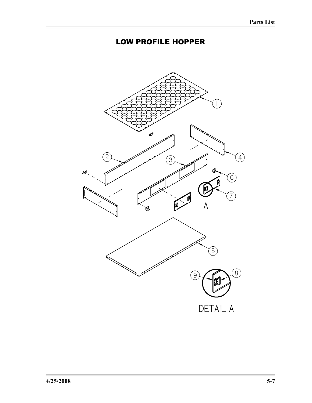# LOW PROFILE HOPPER

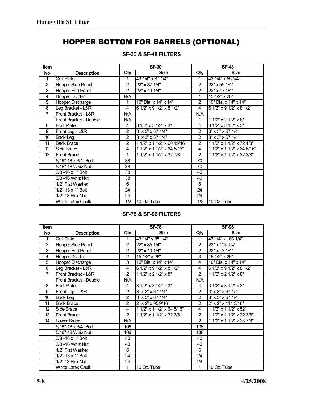# HOPPER BOTTOM FOR BARRELS (OPTIONAL)

| <b>Item</b>       |                          |                | $SF-30$                     |                | $SF-48$                         |
|-------------------|--------------------------|----------------|-----------------------------|----------------|---------------------------------|
| <b>No</b>         | <b>Description</b>       | Qty            | <b>Size</b>                 | Qty            | <b>Size</b>                     |
| $\mathbf{1}$      | Cell Plate               | 1              | 43 1/4" x 37 1/4"           | 1              | 43 1/4" x 55 1/4"               |
| 2                 | Hopper Side Panel        | $\overline{2}$ | 22" x 37 1/4"               | $\overline{2}$ | 22" x 55 1/4"                   |
| 3                 | Hopper End Panel         | 2              | 22" x 43 1/4"               | $\overline{2}$ | 22" x 43 1/4"                   |
| 4                 | <b>Hopper Divider</b>    | N/A            |                             | 1              | 15 1/2" x 26"                   |
| 5                 | Hopper Discharge         | 1              | 10" Dia. x 14" x 14"        | 2              | 10" Dia. x 14" x 14"            |
| 6                 | Leg Bracket - L&R        | 4              | 6 1/2" x 9 1/2" x 8 1/2"    | 4              | 6 1/2" x 9 1/2" x 8 1/2"        |
| $\overline{7}$    | Front Bracket - L&R      | N/A            |                             | N/A            |                                 |
|                   | Front Bracket - Double   | N/A            |                             | $\mathbf{1}$   | 1 1/2" x 2 1/2" x 8"            |
| 8                 | <b>Foot Plate</b>        | 4              | 3 1/2" x 3 1/2" x 3"        | 4              | 3 1/2" x 3 1/2" x 3"            |
| 9                 | Front Leg - L&R          | $\overline{2}$ | 3" x 3" x 67 1/4"           | $\overline{2}$ | $3'' \times 3'' \times 67$ 1/4" |
| 10                | Back Leg                 | $\overline{2}$ | 3" x 3" x 67 1/4"           | $\overline{2}$ | 3" x 3" x 67 1/4"               |
| 11                | <b>Back Brace</b>        | $\overline{2}$ | 1 1/2" x 1 1/2" x 60 15/16" | $\overline{2}$ | 1 1/2" x 1 1/2" x 72 1/8"       |
| $12 \overline{ }$ | Side Brace               | 4              | 1 1/2" x 1 1/2" x 64 5/16"  | 4              | 1 1/2" x 1 1/2" x 64 5/16"      |
| 13                | <b>Front Brace</b>       | 1              | 1 1/2" x 1 1/2" x 32 7/8"   | $\overline{2}$ | 1 1/2" x 1 1/2" x 32 3/8"       |
|                   | 5/16"-18 x 3/4" Bolt     | 38             |                             | 70             |                                 |
|                   | 5/16"-18 Whiz Nut        | 38             |                             | 70             |                                 |
|                   | 3/8"-16 x 1" Bolt        | 38             |                             | 40             |                                 |
|                   | 3/8"-16 Whiz Nut         | 38             |                             | 40             |                                 |
|                   | 1/2" Flat Washer         | 6              |                             | 6              |                                 |
|                   | 1/2"-13 x 1" Bolt        | 24             |                             | 24             |                                 |
|                   | 1/2" 13 Hex Nut          | 24             |                             | 24             |                                 |
|                   | <b>White Latex Caulk</b> | 1/2            | 10 Oz. Tube                 | 1/2            | 10 Oz. Tube                     |

#### **SF-30 & SF-48 FILTERS**

#### **SF-78 & SF-96 FILTERS**

| Item            |                          |                | $SF-78$                    | <b>SF-96</b>   |                                 |  |
|-----------------|--------------------------|----------------|----------------------------|----------------|---------------------------------|--|
| No              | <b>Description</b>       | Qty            | <b>Size</b>                | Qty            | <b>Size</b>                     |  |
| $\mathbf{1}$    | Cell Plate               | 1              | 43 1/4" x 85 1/4"          |                | 43 1/4" x 103 1/4"              |  |
| $\overline{2}$  | Hopper Side Panel        | $\overline{2}$ | 22" x 85 1/4"              | $\overline{2}$ | 22" x 103 1/4"                  |  |
| 3               | <b>Hopper End Panel</b>  | $\overline{2}$ | 22" x 43 1/4"              | $\overline{2}$ | 22" x 43 1/4"                   |  |
| 4               | <b>Hopper Divider</b>    | $\overline{2}$ | 15 1/2" x 26"              | 3              | 15 1/2" x 26"                   |  |
| $\overline{5}$  | Hopper Discharge         | 3              | 10" Dia. x 14" x 14"       | 4              | 10" Dia. x 14" x 14"            |  |
| 6               | Leg Bracket - L&R        | 4              | 6 1/2" x 9 1/2" x 8 1/2"   | 4              | 6 1/2" x 9 1/2" x 8 1/2"        |  |
| $\overline{7}$  | Front Bracket - L&R      | $\overline{2}$ | 1 1/2" x 2 1/2" x 8"       | 2              | 1 1/2" x 2 1/2" x 8"            |  |
|                 | Front Bracket - Double   | N/A            |                            | N/A            |                                 |  |
| 8               | <b>Foot Plate</b>        | 4              | 3 1/2" x 3 1/2" x 3"       | 4              | 3 1/2" x 3 1/2" x 3"            |  |
| 9               | Front Leg - L&R          | $\overline{2}$ | 3" x 3" x 67 1/4"          | 2              | $3'' \times 3'' \times 67$ 1/4" |  |
| $\overline{10}$ | <b>Back Leg</b>          | $\overline{2}$ | 3" x 3" x 67 1/4"          | $\overline{2}$ | 3" x 3" x 67 1/4"               |  |
| 11              | <b>Back Brace</b>        | $\overline{2}$ | 2" x 2" x 95 9/16"         | 2              | 2" x 2" x 111 3/16"             |  |
| 12              | Side Brace               | 4              | 1 1/2" x 1 1/2" x 64 5/16" | 4              | 1 1/2" x 1 1/2" x 52"           |  |
| 13              | <b>Front Brace</b>       | $\overline{2}$ | 1 1/2" x 1 1/2" x 32 3/8"  | 2              | 1 1/2" x 1 1/2" x 32 3/8"       |  |
| 14              | Lower Brace              | N/A            |                            | $\overline{2}$ | 1 1/2" x 1 1/2" x 38 7/8"       |  |
|                 | 5/16"-18 x 3/4" Bolt     | 106            |                            | 138            |                                 |  |
|                 | 5/16"-18 Whiz Nut        | 106            |                            | 138            |                                 |  |
|                 | 3/8"-16 x 1" Bolt        | 40             |                            | 40             |                                 |  |
|                 | 3/8"-16 Whiz Nut         | 40             |                            | 40             |                                 |  |
|                 | 1/2" Flat Washer         | 6              |                            | 6              |                                 |  |
|                 | 1/2"-13 x 1" Bolt        | 24             |                            | 24             |                                 |  |
|                 | 1/2" 13 Hex Nut          | 24             |                            | 24             |                                 |  |
|                 | <b>White Latex Caulk</b> | 1              | 10 Oz. Tube                | 1              | 10 Oz. Tube                     |  |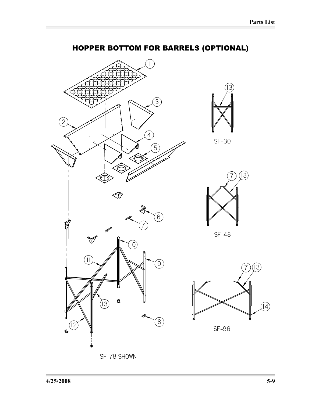SF-30

 $\left[13\right]$ 

 $(13)$ 

SF-48

 $\sqrt{14}$ 

SF-96



# HOPPER BOTTOM FOR BARRELS (OPTIONAL)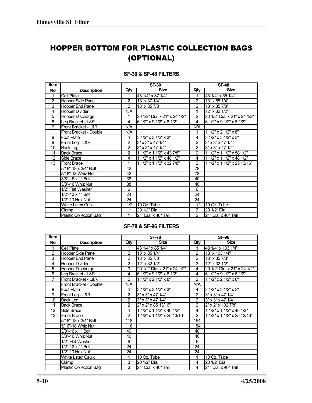# HOPPER BOTTOM FOR PLASTIC COLLECTION BAGS (OPTIONAL)

| Item           |                               | <b>SF-30</b>   |                              |                | <b>SF-48</b>                 |
|----------------|-------------------------------|----------------|------------------------------|----------------|------------------------------|
| No             | <b>Description</b>            | Qty            | <b>Size</b>                  | Qty            | <b>Size</b>                  |
| 1              | <b>Cell Plate</b>             | 1              | 43 1/4" x 37 1/4"            |                | 43 1/4" x 55 1/4"            |
| 2              | <b>Hopper Side Panel</b>      | $\overline{2}$ | 13" x 37 1/4"                | $\overline{2}$ | 13" x 55 1/4"                |
| 3              | Hopper End Panel              | $\overline{2}$ | 13" x 35 7/8"                | $\overline{2}$ | 13" x 35 7/8"                |
| 4              | Hopper Divider                | N/A            |                              |                | 12" x 32 1/2"                |
| $\overline{5}$ | <b>Hopper Discharge</b>       | 1              | 20 1/2" Dia. x 21" x 24 1/2" | $\overline{2}$ | 20 1/2" Dia. x 21" x 24 1/2" |
| 6              | Leg Bracket - L&R             | 4              | 6 1/2" x 9 1/2" x 8 1/2"     | 4              | 6 1/2" x 9 1/2" x 8 1/2"     |
| $\overline{7}$ | Front Bracket - L&R           | N/A            |                              | N/A            |                              |
|                | Front Bracket - Double        | N/A            |                              | 1              | 1 1/2" x 2 1/2" x 8"         |
| 8              | Foot Plate                    | 4              | 3 1/2" x 3 1/2" x 3"         | 4              | 3 1/2" x 3 1/2" x 3"         |
| 9              | Front Leg - L&R               | $\overline{2}$ | 3" x 3" x 47 1/4"            | 2              | 3" x 3" x 47 1/4"            |
| 10             | <b>Back Leg</b>               | $\overline{2}$ | 3" x 3" x 47 1/4"            | $\overline{2}$ | 3" x 3" x 47 1/4"            |
| 11             | <b>Back Brace</b>             | $\overline{2}$ | 1 1/2" x 1 1/2" x 43 7/8"    | $\overline{2}$ | 1 1/2" x 1 1/2" x 58 1/2"    |
| 12             | Side Brace                    | 4              | 1 1/2" x 1 1/2" x 48 1/2"    | 4              | 1 1/2" x 1 1/2" x 48 1/2"    |
| 13             | <b>Front Brace</b>            | 1              | 1 1/2" x 1 1/2" x 32 7/8"    | 2              | 1 1/2" x 1 1/2" x 25 13/16"  |
|                | 5/16"-18 x 3/4" Bolt          | 42             |                              | 78             |                              |
|                | 5/16"-18 Whiz Nut             | 42             |                              | 78             |                              |
|                | 3/8"-16 x 1" Bolt             | 38             |                              | 40             |                              |
|                | 3/8"-16 Whiz Nut              | 38             |                              | 40             |                              |
|                | 1/2" Flat Washer              | 6              |                              | 6              |                              |
|                | $1/2" - 13 \times 1"$ Bolt    | 24             |                              | 24             |                              |
|                | 1/2" 13 Hex Nut               | 24             |                              | 24             |                              |
|                | <b>White Latex Caulk</b>      | 1/2            | 10 Oz. Tube                  | 1/2            | 10 Oz. Tube                  |
|                | Clamp                         | 1              | 20 1/2" Dia.                 | 2              | 20 1/2" Dia.                 |
|                | <b>Plastic Collection Bag</b> | 1              | 21" Dia. x 40" Tall          | $\overline{2}$ | 21" Dia. x 40" Tall          |

#### **SF-30 & SF-48 FILTERS**

#### **SF-78 & SF-96 FILTERS**

| <b>Item</b>     |                               |                | <b>SF-78</b>                 |                | <b>SF-96</b>                 |
|-----------------|-------------------------------|----------------|------------------------------|----------------|------------------------------|
| No              | <b>Description</b>            | Qty            | <b>Size</b>                  | Qty            | <b>Size</b>                  |
| 1               | <b>Cell Plate</b>             | 1              | 43 1/4" x 85 1/4"            |                | 43 1/4" x 103 1/4"           |
| $\overline{c}$  | <b>Hopper Side Panel</b>      | $\overline{c}$ | 13" x 85 1/4"                | $\overline{c}$ | 13" x 103 1/4"               |
| $\overline{3}$  | <b>Hopper End Panel</b>       | $\overline{2}$ | 13" x 35 7/8"                | $\overline{2}$ | 13" x 35 7/8"                |
| 4               | <b>Hopper Divider</b>         | $\overline{2}$ | 12" x 32 1/2"                | 3              | 12" x 32 1/2"                |
| 5               | <b>Hopper Discharge</b>       | 3              | 20 1/2" Dia. x 21" x 24 1/2" | 4              | 20 1/2" Dia. x 21" x 24 1/2" |
| $\overline{6}$  | Leg Bracket - L&R             | 4              | 6 1/2" x 9 1/2" x 8 1/2"     | 4              | 6 1/2" x 9 1/2" x 8 1/2"     |
| $\overline{7}$  | Front Bracket - L&R           | $\overline{2}$ | 1 1/2" x 2 1/2" x 8"         | $\overline{2}$ | 1 1/2" x 2 1/2" x 8"         |
|                 | Front Bracket - Double        | N/A            |                              | N/A            |                              |
| 8               | <b>Foot Plate</b>             | 4              | 3 1/2" x 3 1/2" x 3"         | 4              | 3 1/2" x 3 1/2" x 3"         |
| 9               | Front Leg - L&R               | $\overline{2}$ | 3" x 3" x 47 1/4"            | $\overline{2}$ | 3" x 3" x 47 1/4"            |
| $\overline{10}$ | Back Leg                      | $\overline{2}$ | 3" x 3" x 47 1/4"            | 2              | 3" x 3" x 47 1/4"            |
| 11              | <b>Back Brace</b>             | 2              | 2" x 2" x 85 13/16"          | $\overline{2}$ | 2" x 2" x 102 7/8"           |
| 12              | Side Brace                    | 4              | 1 1/2" x 1 1/2" x 48 1/2"    | 4              | 1 1/2" x 1 1/2" x 48 1/2"    |
| $\overline{13}$ | Front Brace                   | $\overline{2}$ | 1 1/2" x 1 1/2" x 25 13/16"  | $\overline{2}$ | 1 1/2" x 1 1/2" x 25 13/16"  |
|                 | 5/16"-18 x 3/4" Bolt          | 118            |                              | 154            |                              |
|                 | 5/16"-18 Whiz Nut             | 118            |                              | 154            |                              |
|                 | 3/8"-16 x 1" Bolt             | 40             |                              | 40             |                              |
|                 | 3/8"-16 Whiz Nut              | 40             |                              | 40             |                              |
|                 | 1/2" Flat Washer              | 6              |                              | 6              |                              |
|                 | 1/2"-13 x 1" Bolt             | 24             |                              | 24             |                              |
|                 | 1/2" 13 Hex Nut               | 24             |                              | 24             |                              |
|                 | <b>White Latex Caulk</b>      | 1              | 10 Oz. Tube                  | 1              | 10 Oz. Tube                  |
|                 | Clamp                         | 3              | 20 1/2" Dia.                 | 4              | 20 1/2" Dia.                 |
|                 | <b>Plastic Collection Bag</b> | 3              | 21" Dia. x 40" Tall          | 4              | 21" Dia. x 40" Tall          |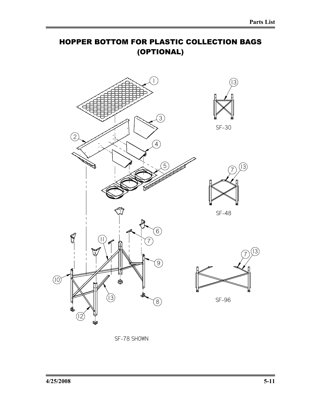# HOPPER BOTTOM FOR PLASTIC COLLECTION BAGS (OPTIONAL)



SF-78 SHOWN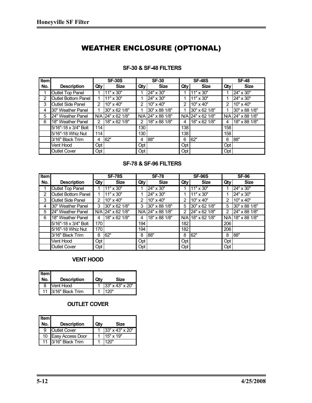# WEATHER ENCLOSURE (OPTIONAL)

| <b>Item</b> |                            |     | <b>SF-30S</b>     |     | <b>SF-30</b>      |                | <b>SF-48S</b>       | <b>SF-48</b> |                   |
|-------------|----------------------------|-----|-------------------|-----|-------------------|----------------|---------------------|--------------|-------------------|
| No.         | <b>Description</b>         | Qty | <b>Size</b>       | Qty | <b>Size</b>       | Qty            | <b>Size</b>         | Qty          | <b>Size</b>       |
|             | Outlet Top Panel           |     | 11" x 30"         |     | 24" x 30"         |                | 11" x 30"           |              | 24" x 30"         |
| 2           | <b>Outlet Bottom Panel</b> |     | 11" x 30"         |     | 24" x 30"         |                | $11" \times 30"$    |              | 24" x 30"         |
| 3           | <b>Outlet Side Panel</b>   | 2   | $10" \times 40"$  | 2   | 10" x 40"         | $\overline{2}$ | $10" \times 40"$    | 2            | 10" x 40"         |
| 4           | 30" Weather Panel          |     | 30" x 62 1/8"     |     | 30" x 88 1/8"     | 1              | 30" x 62 1/8"       |              | 30" x 88 1/8"     |
| 5           | 24" Weather Panel          |     | N/A 24" x 62 1/8" |     | N/A 24" x 88 1/8" |                | $N/A$ 24" x 62 1/8" |              | N/A 24" x 88 1/8" |
| 6           | 18" Weather Panel          | 2   | 18" x 62 1/8"     | 2   | 18" x 88 1/8"     | 4              | 18" x 62 1/8"       | 4            | 18" x 88 1/8"     |
|             | 5/16"-18 x 3/4" Bolt       | 114 |                   | 130 |                   | 138            |                     | 158          |                   |
|             | 5/16"-18 Whiz Nut          | 114 |                   | 130 |                   | 138            |                     | 158          |                   |
|             | 3/16" Black Trim           | 4   | 62"               | 4   | 88"               | 6              | 62"                 | 6            | 88"               |
|             | Vent Hood                  | Opt |                   | Opt |                   | Opt            |                     | Opt          |                   |
|             | <b>Outlet Cover</b>        | Opt |                   | Opt |                   | Opt            |                     | Opt          |                   |

#### **SF-30 & SF-48 FILTERS**

#### **SF-78 & SF-96 FILTERS**

| Item |                            |     | <b>SF-78S</b>     |     | <b>SF-78</b>      |     | <b>SF-96S</b>     | <b>SF-96</b> |                   |
|------|----------------------------|-----|-------------------|-----|-------------------|-----|-------------------|--------------|-------------------|
| No.  | <b>Description</b>         | Qty | <b>Size</b>       | Qty | <b>Size</b>       | Qty | <b>Size</b>       | Qty          | <b>Size</b>       |
|      | Outlet Top Panel           |     | $11" \times 30"$  |     | 24" x 30"         |     | $11" \times 30"$  |              | 24" x 30"         |
| 2    | <b>Outlet Bottom Panel</b> |     | 11" x 30"         |     | 24" x 30"         |     | 11" x 30"         | 1            | 24" x 30"         |
| 3    | <b>Outlet Side Panel</b>   | 2   | 10" x 40"         | 2   | $10" \times 40"$  | 2   | 10" x 40"         | 2            | 10" x 40"         |
| 4    | 30" Weather Panel          | 3   | 30" x 62 1/8"     | 3   | 30" x 88 1/8"     | 5   | 30" x 62 1/8"     | 5            | 30" x 88 1/8"     |
| 5    | 24" Weather Panel          |     | N/A 24" x 62 1/8" |     | N/A 24" x 88 1/8" | 2   | 24" x 62 1/8"     | 2            | 24" x 88 1/8"     |
| 6    | 18" Weather Panel          | 4   | 18" x 62 1/8"     | 4   | 18" x 88 1/8"     |     | N/A 18" x 62 1/8" |              | N/A 18" x 88 1/8" |
|      | 5/16"-18 x 3/4" Bolt       | 170 |                   | 194 |                   | 182 |                   | 206          |                   |
|      | 5/16"-18 Whiz Nut          | 170 |                   | 194 |                   | 182 |                   | 206          |                   |
|      | 3/16" Black Trim           | 8   | 62"               | 8   | 88"               | 8   | 62"               | 8            | 88"               |
|      | Vent Hood                  | Opt |                   | Opt |                   | Opt |                   | Opt          |                   |
|      | <b>Outlet Cover</b>        | Opt |                   | Opt |                   | Opt |                   | Opt          |                   |

#### **VENT HOOD**

| <b>I</b> Item<br>No. | <b>Description</b>  | Qtv | Size                            |
|----------------------|---------------------|-----|---------------------------------|
| 8                    | <b>Vent Hood</b>    |     | 1 $\left 33\right $ x 43" x 20" |
|                      | 11 3/16" Black Trim |     | 120"                            |

#### **OUTLET COVER**

| <b>Item</b><br>No. | <b>Description</b>  | Qtv | Size            |
|--------------------|---------------------|-----|-----------------|
| 9                  | <b>Outlet Cover</b> |     | 33" x 43" x 20" |
|                    | 10 Easy Access Door |     | 15" x 19"       |
|                    | 11 3/16" Black Trim |     | 120"            |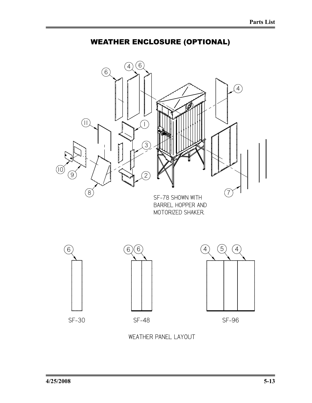



WEATHER PANEL LAYOUT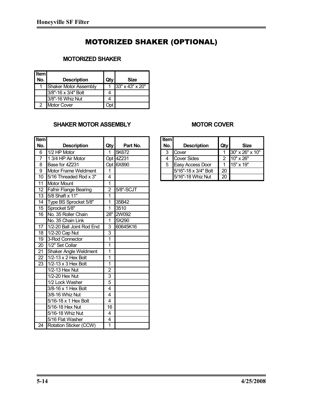# MOTORIZED SHAKER (OPTIONAL)

#### **MOTORIZED SHAKER**

| <b>Item</b> |                       |     |                 |
|-------------|-----------------------|-----|-----------------|
| No.         | <b>Description</b>    | Qtv | Size            |
| 1           | Shaker Motor Assembly |     | 33" x 43" x 20" |
|             | 3/8"-16 x 3/4" Bolt   |     |                 |
|             | 3/8"-16 Whiz Nut      |     |                 |
| 2           | <b>Motor Cover</b>    |     |                 |

#### **SHAKER MOTOR ASSEMBLY**

| <b>Item</b>    |                               |                |           | <b>Item</b> |                                    |                 |                 |
|----------------|-------------------------------|----------------|-----------|-------------|------------------------------------|-----------------|-----------------|
| No.            | <b>Description</b>            | Qty            | Part No.  | No.         | <b>Description</b>                 | Qty             | <b>Size</b>     |
| 6              | $1/2$ HP Motor                | 1              | 5K672     | 3           | Cover                              | 1               | 30" x 26" x 10" |
| $\overline{7}$ | 1 3/4 HP Air Motor            |                | Opt 4Z231 | 4           | <b>Cover Sides</b>                 | $\overline{2}$  | 10" x 26"       |
| 8              | Base for 4Z231                |                | Opt 6X890 | 5           | Easy Access Door                   | 1               | 15" x 19"       |
| 9              | Motor Frame Weldment          | 1              |           |             | $\overline{5/16}$ "-18 x 3/4" Bolt | 20              |                 |
| 10             | 5/16 Threaded Rod x 3"        | $\overline{4}$ |           |             | 5/16"-18 Whiz Nut                  | $\overline{20}$ |                 |
| 11             | <b>Motor Mount</b>            | 1              |           |             |                                    |                 |                 |
| 12             | <b>Fafnir Flange Bearing</b>  | $\overline{2}$ | 5/8"-SCJT |             |                                    |                 |                 |
| 13             | 5/8 Shaft $x$ 11"             | 1              |           |             |                                    |                 |                 |
| 14             | Type BS Sprocket 5/8"         | 1              | 35B42     |             |                                    |                 |                 |
| 15             | Sprocket 5/8"                 | 1              | 3510      |             |                                    |                 |                 |
| 16             | No. 35 Roller Chain           | 28"            | 2W092     |             |                                    |                 |                 |
|                | No. 35 Chain Link             | 1              | 5X290     |             |                                    |                 |                 |
| 17             | 1/2-20 Ball Joint Rod End     | 3              | 60645K16  |             |                                    |                 |                 |
| 18             | 1/2-20 Cap Nut                | 3              |           |             |                                    |                 |                 |
| 19             | 3-Rod Connector               | 1              |           |             |                                    |                 |                 |
| 20             | 1/2" Set Collar               | 1              |           |             |                                    |                 |                 |
| 21             | <b>Shaker Angle Weldment</b>  | 1              |           |             |                                    |                 |                 |
| 22             | 1/2-13 x 2 Hex Bolt           | 1              |           |             |                                    |                 |                 |
| 23             | 1/2-13 x 3 Hex Bolt           | 1              |           |             |                                    |                 |                 |
|                | 1/2-13 Hex Nut                | $\overline{2}$ |           |             |                                    |                 |                 |
|                | 1/2-20 Hex Nut                | 3              |           |             |                                    |                 |                 |
|                | 1/2 Lock Washer               | $\overline{5}$ |           |             |                                    |                 |                 |
|                | 3/8-16 x 1 Hex Bolt           | 4              |           |             |                                    |                 |                 |
|                | 3/8-16 Whiz Nut               | 4              |           |             |                                    |                 |                 |
|                | 5/16-18 x 1 Hex Bolt          | $\overline{4}$ |           |             |                                    |                 |                 |
|                | $\overline{5/1}$ 6-18 Hex Nut | 16             |           |             |                                    |                 |                 |
|                | 5/16-18 Whiz Nut              | 4              |           |             |                                    |                 |                 |
|                | 5/16 Flat Washer              | 4              |           |             |                                    |                 |                 |
| 24             | Rotation Sticker (CCW)        | 1              |           |             |                                    |                 |                 |

#### **MOTOR COVER**

| <b>I</b> tem<br>No. | <b>Description</b>   | Qty | Size            |
|---------------------|----------------------|-----|-----------------|
| 3                   | Cover                |     | 30" x 26" x 10" |
| 4                   | <b>Cover Sides</b>   | 2   | 10" x 26"       |
| 5                   | Easy Access Door     |     | 15" x 19"       |
|                     | 5/16"-18 x 3/4" Bolt | 20  |                 |
|                     | 5/16"-18 Whiz Nut    | 20  |                 |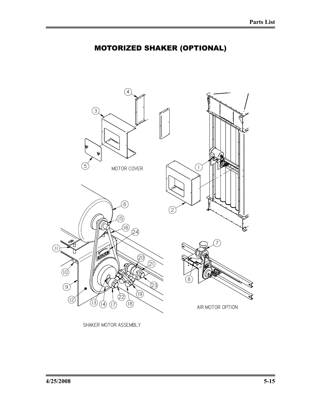# MOTORIZED SHAKER (OPTIONAL)



SHAKER MOTOR ASSEMBLY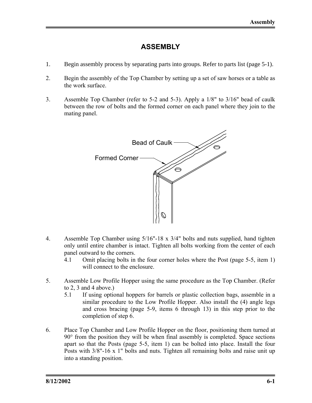## **ASSEMBLY**

- 1. Begin assembly process by separating parts into groups. Refer to parts list (page 5-1).
- 2. Begin the assembly of the Top Chamber by setting up a set of saw horses or a table as the work surface.
- 3. Assemble Top Chamber (refer to 5-2 and 5-3). Apply a 1/8" to 3/16" bead of caulk between the row of bolts and the formed corner on each panel where they join to the mating panel.



- 4. Assemble Top Chamber using 5/16"-18 x 3/4" bolts and nuts supplied, hand tighten only until entire chamber is intact. Tighten all bolts working from the center of each panel outward to the corners.
	- 4.1 Omit placing bolts in the four corner holes where the Post (page 5-5, item 1) will connect to the enclosure.
- 5. Assemble Low Profile Hopper using the same procedure as the Top Chamber. (Refer to 2, 3 and 4 above.)
	- 5.1 If using optional hoppers for barrels or plastic collection bags, assemble in a similar procedure to the Low Profile Hopper. Also install the (4) angle legs and cross bracing (page 5-9, items 6 through 13) in this step prior to the completion of step 6.
- 6. Place Top Chamber and Low Profile Hopper on the floor, positioning them turned at 90° from the position they will be when final assembly is completed. Space sections apart so that the Posts (page 5-5, item 1) can be bolted into place. Install the four Posts with 3/8"-16 x 1" bolts and nuts. Tighten all remaining bolts and raise unit up into a standing position.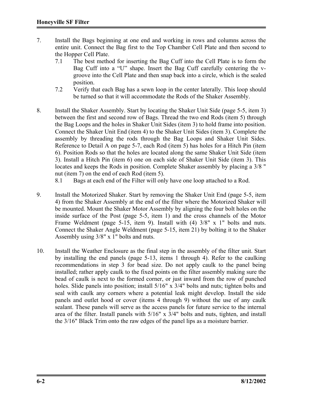- 7. Install the Bags beginning at one end and working in rows and columns across the entire unit. Connect the Bag first to the Top Chamber Cell Plate and then second to the Hopper Cell Plate.
	- 7.1 The best method for inserting the Bag Cuff into the Cell Plate is to form the Bag Cuff into a "U" shape. Insert the Bag Cuff carefully centering the vgroove into the Cell Plate and then snap back into a circle, which is the sealed position.
	- 7.2 Verify that each Bag has a sewn loop in the center laterally. This loop should be turned so that it will accommodate the Rods of the Shaker Assembly.
- 8. Install the Shaker Assembly. Start by locating the Shaker Unit Side (page 5-5, item 3) between the first and second row of Bags. Thread the two end Rods (item 5) through the Bag Loops and the holes in Shaker Unit Sides (item 3) to hold frame into position. Connect the Shaker Unit End (item 4) to the Shaker Unit Sides (item 3). Complete the assembly by threading the rods through the Bag Loops and Shaker Unit Sides. Reference to Detail A on page 5-7, each Rod (item 5) has holes for a Hitch Pin (item 6). Position Rods so that the holes are located along the same Shaker Unit Side (item 3). Install a Hitch Pin (item 6) one on each side of Shaker Unit Side (item 3). This locates and keeps the Rods in position. Complete Shaker assembly by placing a 3/8 " nut (item 7) on the end of each Rod (item 5).
	- 8.1 Bags at each end of the Filter will only have one loop attached to a Rod.
- 9. Install the Motorized Shaker. Start by removing the Shaker Unit End (page 5-5, item 4) from the Shaker Assembly at the end of the filter where the Motorized Shaker will be mounted. Mount the Shaker Motor Assembly by aligning the four bolt holes on the inside surface of the Post (page 5-5, item 1) and the cross channels of the Motor Frame Weldment (page 5-15, item 9). Install with (4)  $3/8$ " x 1" bolts and nuts. Connect the Shaker Angle Weldment (page 5-15, item 21) by bolting it to the Shaker Assembly using 3/8" x 1" bolts and nuts.
- 10. Install the Weather Enclosure as the final step in the assembly of the filter unit. Start by installing the end panels (page 5-13, items 1 through 4). Refer to the caulking recommendations in step 3 for bead size. Do not apply caulk to the panel being installed; rather apply caulk to the fixed points on the filter assembly making sure the bead of caulk is next to the formed corner, or just inward from the row of punched holes. Slide panels into position; install 5/16" x 3/4" bolts and nuts; tighten bolts and seal with caulk any corners where a potential leak might develop. Install the side panels and outlet hood or cover (items 4 through 9) without the use of any caulk sealant. These panels will serve as the access panels for future service to the internal area of the filter. Install panels with 5/16" x 3/4" bolts and nuts, tighten, and install the 3/16" Black Trim onto the raw edges of the panel lips as a moisture barrier.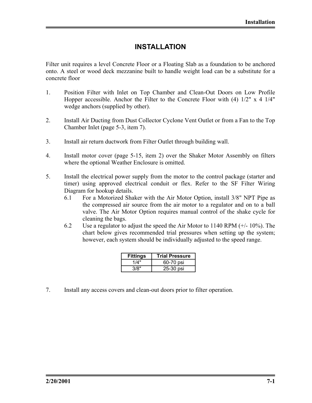## **INSTALLATION**

Filter unit requires a level Concrete Floor or a Floating Slab as a foundation to be anchored onto. A steel or wood deck mezzanine built to handle weight load can be a substitute for a concrete floor

- 1. Position Filter with Inlet on Top Chamber and Clean-Out Doors on Low Profile Hopper accessible. Anchor the Filter to the Concrete Floor with  $(4)$  1/2" x 4 1/4" wedge anchors (supplied by other).
- 2. Install Air Ducting from Dust Collector Cyclone Vent Outlet or from a Fan to the Top Chamber Inlet (page 5-3, item 7).
- 3. Install air return ductwork from Filter Outlet through building wall.
- 4. Install motor cover (page 5-15, item 2) over the Shaker Motor Assembly on filters where the optional Weather Enclosure is omitted.
- 5. Install the electrical power supply from the motor to the control package (starter and timer) using approved electrical conduit or flex. Refer to the SF Filter Wiring Diagram for hookup details.
	- 6.1 For a Motorized Shaker with the Air Motor Option, install 3/8" NPT Pipe as the compressed air source from the air motor to a regulator and on to a ball valve. The Air Motor Option requires manual control of the shake cycle for cleaning the bags.
	- 6.2 Use a regulator to adjust the speed the Air Motor to 1140 RPM (+/- 10%). The chart below gives recommended trial pressures when setting up the system; however, each system should be individually adjusted to the speed range.

| <b>Fittings</b> | <b>Trial Pressure</b> |
|-----------------|-----------------------|
| 1/4"            | 60-70 psi             |
| 3/8"            | 25-30 psi             |

7. Install any access covers and clean-out doors prior to filter operation.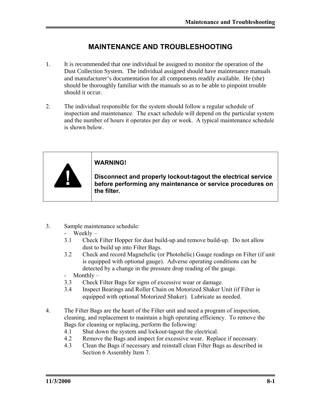# **MAINTENANCE AND TROUBLESHOOTING**

- 1. It is recommended that one individual be assigned to monitor the operation of the Dust Collection System. The individual assigned should have maintenance manuals and manufacturer's documentation for all components readily available. He (she) should be thoroughly familiar with the manuals so as to be able to pinpoint trouble should it occur.
- 2. The individual responsible for the system should follow a regular schedule of inspection and maintenance. The exact schedule will depend on the particular system and the number of hours it operates per day or week. A typical maintenance schedule is shown below.



3. Sample maintenance schedule:

- Weekly –

- 3.1 Check Filter Hopper for dust build-up and remove build-up. Do not allow dust to build up into Filter Bags.
- 3.2 Check and record Magnehelic (or Photohelic) Gauge readings on Filter (if unit is equipped with optional gauge). Adverse operating conditions can be detected by a change in the pressure drop reading of the gauge.
- Monthly –
- 3.3 Check Filter Bags for signs of excessive wear or damage.
- 3.4 Inspect Bearings and Roller Chain on Motorized Shaker Unit (if Filter is equipped with optional Motorized Shaker). Lubricate as needed.
- 4. The Filter Bags are the heart of the Filter unit and need a program of inspection, cleaning, and replacement to maintain a high operating efficiency. To remove the Bags for cleaning or replacing, perform the following:
	- 4.1 Shut down the system and lockout-tagout the electrical.
	- 4.2 Remove the Bags and inspect for excessive wear. Replace if necessary.
	- 4.3 Clean the Bags if necessary and reinstall clean Filter Bags as described in Section 6 Assembly Item 7.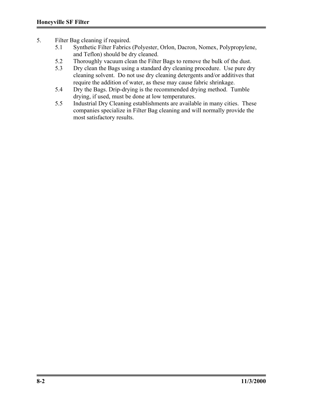- 5. Filter Bag cleaning if required.
	- 5.1 Synthetic Filter Fabrics (Polyester, Orlon, Dacron, Nomex, Polypropylene, and Teflon) should be dry cleaned.
	- 5.2 Thoroughly vacuum clean the Filter Bags to remove the bulk of the dust.
	- 5.3 Dry clean the Bags using a standard dry cleaning procedure. Use pure dry cleaning solvent. Do not use dry cleaning detergents and/or additives that require the addition of water, as these may cause fabric shrinkage.
	- 5.4 Dry the Bags. Drip-drying is the recommended drying method. Tumble drying, if used, must be done at low temperatures.
	- 5.5 Industrial Dry Cleaning establishments are available in many cities. These companies specialize in Filter Bag cleaning and will normally provide the most satisfactory results.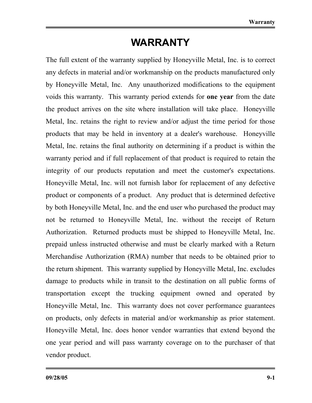# **WARRANTY**

The full extent of the warranty supplied by Honeyville Metal, Inc. is to correct any defects in material and/or workmanship on the products manufactured only by Honeyville Metal, Inc. Any unauthorized modifications to the equipment voids this warranty. This warranty period extends for **one year** from the date the product arrives on the site where installation will take place. Honeyville Metal, Inc. retains the right to review and/or adjust the time period for those products that may be held in inventory at a dealer's warehouse. Honeyville Metal, Inc. retains the final authority on determining if a product is within the warranty period and if full replacement of that product is required to retain the integrity of our products reputation and meet the customer's expectations. Honeyville Metal, Inc. will not furnish labor for replacement of any defective product or components of a product. Any product that is determined defective by both Honeyville Metal, Inc. and the end user who purchased the product may not be returned to Honeyville Metal, Inc. without the receipt of Return Authorization. Returned products must be shipped to Honeyville Metal, Inc. prepaid unless instructed otherwise and must be clearly marked with a Return Merchandise Authorization (RMA) number that needs to be obtained prior to the return shipment. This warranty supplied by Honeyville Metal, Inc. excludes damage to products while in transit to the destination on all public forms of transportation except the trucking equipment owned and operated by Honeyville Metal, Inc. This warranty does not cover performance guarantees on products, only defects in material and/or workmanship as prior statement. Honeyville Metal, Inc. does honor vendor warranties that extend beyond the one year period and will pass warranty coverage on to the purchaser of that vendor product.